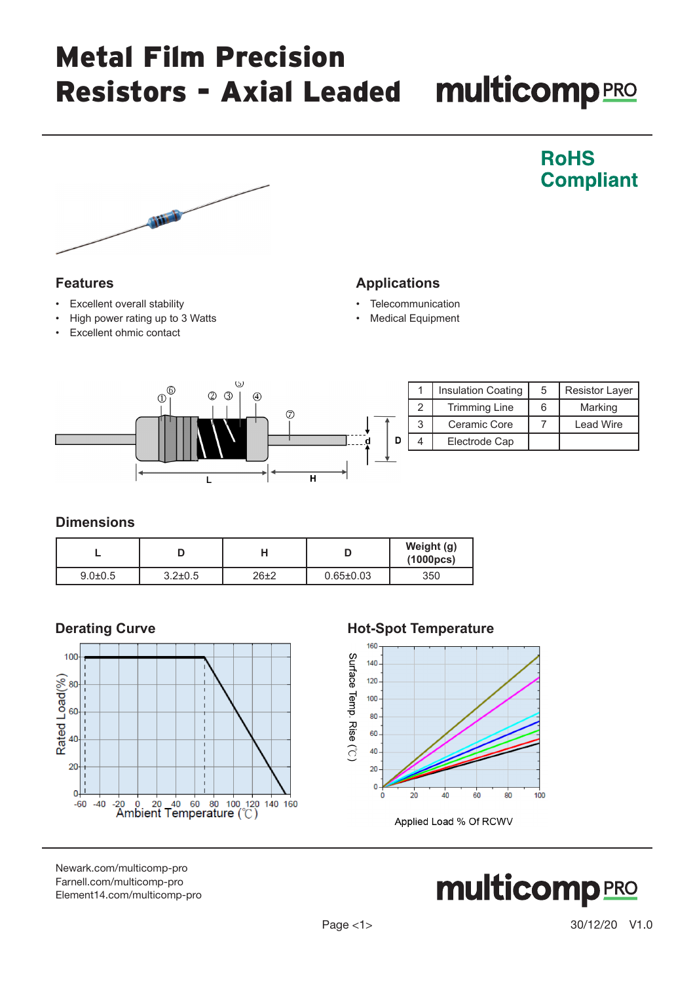## Metal Film Precision Resistors - Axial Leaded multicomp PRO



### **Features**

- **Excellent overall stability**
- High power rating up to 3 Watts
- Excellent ohmic contact

### **Applications**

- **Telecommunication**
- **Medical Equipment**



### **Dimensions**

|               |               |          |                 | Weight (g)<br>(1000pcs) |
|---------------|---------------|----------|-----------------|-------------------------|
| $9.0 \pm 0.5$ | $3.2 \pm 0.5$ | $26\pm2$ | $0.65 \pm 0.03$ | 350                     |



### **Derating Curve Mot-Spot Temperature**



Applied Load % Of RCWV

[Newark.com/multicomp-](https://www.newark.com/multicomp-pro)pro [Farnell.com/multicomp](https://www.farnell.com/multicomp-pro)-pro [Element14.com/multicomp-pro](https://element14.com/multicomp-pro)



**RoHS** 

**Compliant**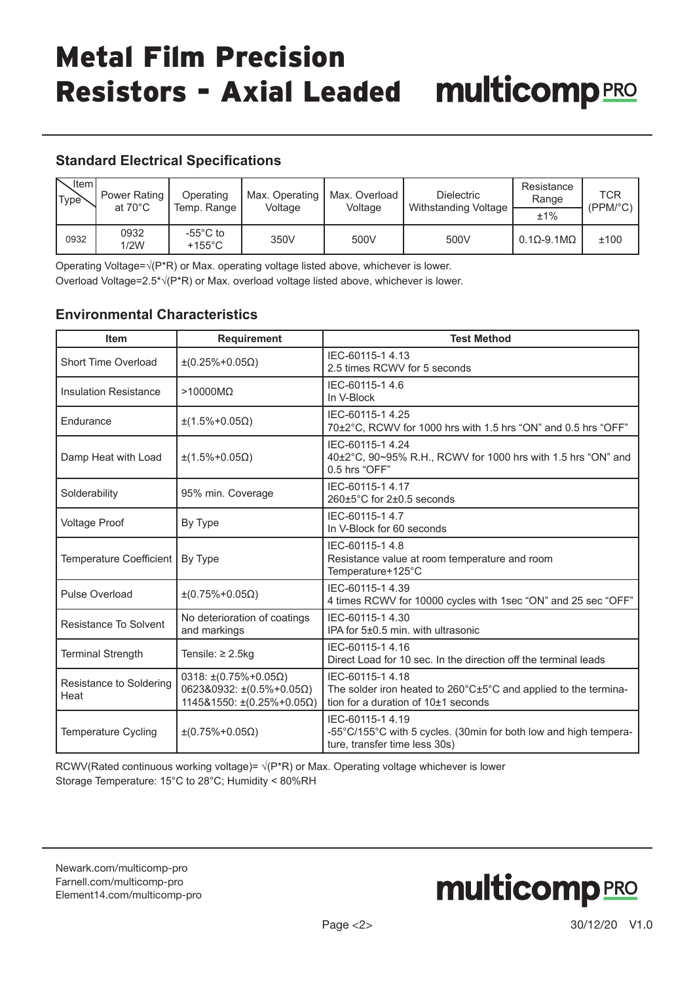## Metal Film Precision Resistors - Axial Leaded multicomp PRO

### **Standard Electrical Specifications**

| 、Item I<br>Type \ | Power Rating<br>at $70^{\circ}$ C | Operating<br>Temp. Range     | Max. Operating<br>Voltage | Max. Overload<br>Voltage | <b>Dielectric</b><br>Withstanding Voltage | Resistance<br>Range        | TCR<br>(PPM <sup>o</sup> C) |
|-------------------|-----------------------------------|------------------------------|---------------------------|--------------------------|-------------------------------------------|----------------------------|-----------------------------|
|                   |                                   |                              |                           |                          |                                           | ±1%                        |                             |
| 0932              | 0932<br>1/2W                      | -55°C to<br>$+155^{\circ}$ C | 350V                      | 500V                     | 500V                                      | $0.1 \Omega - 9.1 M\Omega$ | ±100                        |

Operating Voltage=√(P\*R) or Max. operating voltage listed above, whichever is lower. Overload Voltage=2.5\*√(P\*R) or Max. overload voltage listed above, whichever is lower.

### **Environmental Characteristics**

| <b>Item</b>                     | <b>Requirement</b>                                                                                                   | <b>Test Method</b>                                                                                                           |
|---------------------------------|----------------------------------------------------------------------------------------------------------------------|------------------------------------------------------------------------------------------------------------------------------|
| <b>Short Time Overload</b>      | $\pm (0.25\% + 0.05\Omega)$                                                                                          | IEC-60115-1 4.13<br>2.5 times RCWV for 5 seconds                                                                             |
| <b>Insulation Resistance</b>    | $>10000M\Omega$                                                                                                      | IEC-60115-1 4.6<br>In V-Block                                                                                                |
| Endurance                       | $\pm(1.5\% + 0.05\Omega)$                                                                                            | IEC-60115-1 4.25<br>70±2°C, RCWV for 1000 hrs with 1.5 hrs "ON" and 0.5 hrs "OFF"                                            |
| Damp Heat with Load             | $\pm(1.5\% + 0.05\Omega)$                                                                                            | IEC-60115-1 4.24<br>40±2°C, 90~95% R.H., RCWV for 1000 hrs with 1.5 hrs "ON" and<br>0.5 hrs "OFF"                            |
| Solderability                   | 95% min. Coverage                                                                                                    | IEC-60115-1 4.17<br>$260\pm5^{\circ}$ C for $2\pm0.5$ seconds                                                                |
| <b>Voltage Proof</b>            | By Type                                                                                                              | IEC-60115-1 4.7<br>In V-Block for 60 seconds                                                                                 |
| Temperature Coefficient         | By Type                                                                                                              | IEC-60115-1 4.8<br>Resistance value at room temperature and room<br>Temperature+125°C                                        |
| <b>Pulse Overload</b>           | $\pm (0.75\% + 0.05\Omega)$                                                                                          | IEC-60115-1 4.39<br>4 times RCWV for 10000 cycles with 1sec "ON" and 25 sec "OFF"                                            |
| Resistance To Solvent           | No deterioration of coatings<br>and markings                                                                         | IEC-60115-1 4.30<br>IPA for 5±0.5 min. with ultrasonic                                                                       |
| <b>Terminal Strength</b>        | Tensile: $\geq 2.5$ kg                                                                                               | IEC-60115-1 4.16<br>Direct Load for 10 sec. In the direction off the terminal leads                                          |
| Resistance to Soldering<br>Heat | $0318: \pm (0.75\% + 0.05\Omega)$<br>$062380932: \pm (0.5\% + 0.05\Omega)$<br>$114581550: \pm (0.25\% + 0.05\Omega)$ | IEC-60115-1 4.18<br>The solder iron heated to 260°C±5°C and applied to the termina-<br>tion for a duration of $10±1$ seconds |
| Temperature Cycling             | $\pm (0.75\% + 0.05\Omega)$                                                                                          | IEC-60115-1 4.19<br>-55°C/155°C with 5 cycles. (30min for both low and high tempera-<br>ture, transfer time less 30s)        |

RCWV(Rated continuous working voltage)=  $\sqrt{P^*R}$ ) or Max. Operating voltage whichever is lower Storage Temperature: 15°C to 28°C; Humidity < 80%RH

[Newark.com/multicomp-](https://www.newark.com/multicomp-pro)pro [Farnell.com/multicomp](https://www.farnell.com/multicomp-pro)-pro [Element14.com/multicomp-pro](https://element14.com/multicomp-pro)

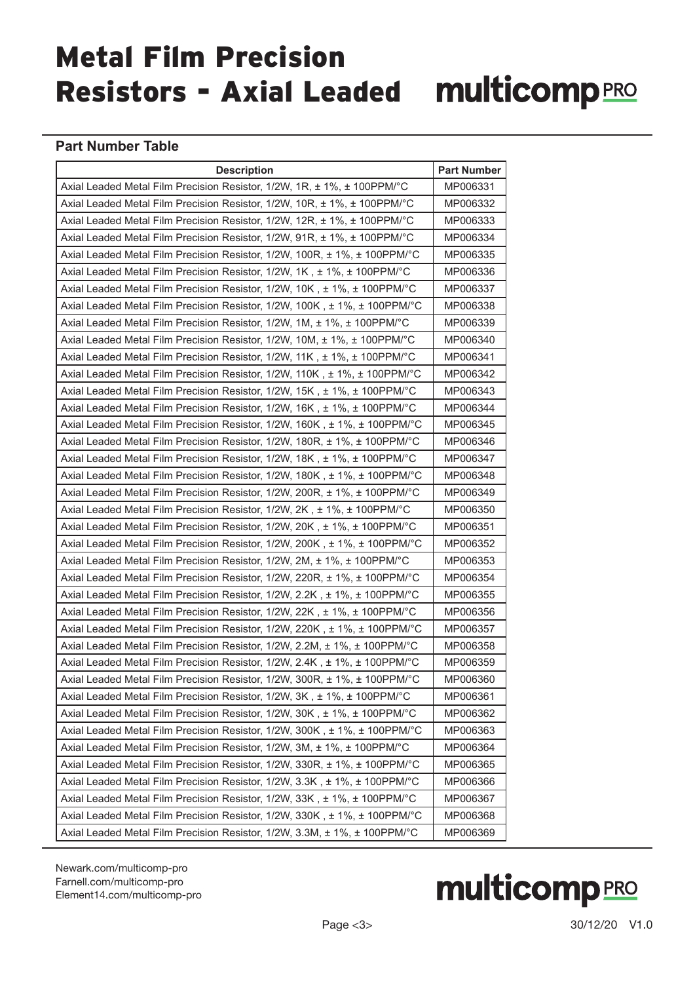# Metal Film Precision Resistors - Axial Leaded multicomp<br>PRO

#### **Part Number Table**

| <b>Description</b>                                                                         | <b>Part Number</b> |
|--------------------------------------------------------------------------------------------|--------------------|
| Axial Leaded Metal Film Precision Resistor, 1/2W, 1R, ± 1%, ± 100PPM/°C                    | MP006331           |
| Axial Leaded Metal Film Precision Resistor, 1/2W, 10R, ± 1%, ± 100PPM/°C                   | MP006332           |
| Axial Leaded Metal Film Precision Resistor, 1/2W, 12R, ± 1%, ± 100PPM/°C                   | MP006333           |
| Axial Leaded Metal Film Precision Resistor, 1/2W, 91R, ± 1%, ± 100PPM/°C                   | MP006334           |
| Axial Leaded Metal Film Precision Resistor, 1/2W, 100R, ± 1%, ± 100PPM/°C                  | MP006335           |
| Axial Leaded Metal Film Precision Resistor, $1/2W$ , $1K$ , $\pm 1\%$ , $\pm 100$ PPM/°C   | MP006336           |
| Axial Leaded Metal Film Precision Resistor, 1/2W, 10K, ± 1%, ± 100PPM/°C                   | MP006337           |
| Axial Leaded Metal Film Precision Resistor, 1/2W, 100K, ± 1%, ± 100PPM/°C                  | MP006338           |
| Axial Leaded Metal Film Precision Resistor, $1/2W$ , $1M$ , $\pm 1\%$ , $\pm 100$ PPM/°C   | MP006339           |
| Axial Leaded Metal Film Precision Resistor, 1/2W, 10M, ± 1%, ± 100PPM/°C                   | MP006340           |
| Axial Leaded Metal Film Precision Resistor, 1/2W, 11K, ± 1%, ± 100PPM/°C                   | MP006341           |
| Axial Leaded Metal Film Precision Resistor, 1/2W, 110K, ± 1%, ± 100PPM/°C                  | MP006342           |
| Axial Leaded Metal Film Precision Resistor, 1/2W, 15K, ± 1%, ± 100PPM/°C                   | MP006343           |
| Axial Leaded Metal Film Precision Resistor, $1/2W$ , $16K$ , $\pm 1\%$ , $\pm 100$ PPM/°C  | MP006344           |
| Axial Leaded Metal Film Precision Resistor, $1/2W$ , $160K$ , $\pm 1\%$ , $\pm 100$ PPM/°C | MP006345           |
| Axial Leaded Metal Film Precision Resistor, 1/2W, 180R, ± 1%, ± 100PPM/°C                  | MP006346           |
| Axial Leaded Metal Film Precision Resistor, 1/2W, 18K, ± 1%, ± 100PPM/°C                   | MP006347           |
| Axial Leaded Metal Film Precision Resistor, 1/2W, 180K, ± 1%, ± 100PPM/°C                  | MP006348           |
| Axial Leaded Metal Film Precision Resistor, 1/2W, 200R, ± 1%, ± 100PPM/°C                  | MP006349           |
| Axial Leaded Metal Film Precision Resistor, 1/2W, 2K, ± 1%, ± 100PPM/°C                    | MP006350           |
| Axial Leaded Metal Film Precision Resistor, 1/2W, 20K, ± 1%, ± 100PPM/°C                   | MP006351           |
| Axial Leaded Metal Film Precision Resistor, 1/2W, 200K, ± 1%, ± 100PPM/°C                  | MP006352           |
| Axial Leaded Metal Film Precision Resistor, 1/2W, 2M, ± 1%, ± 100PPM/°C                    | MP006353           |
| Axial Leaded Metal Film Precision Resistor, 1/2W, 220R, ± 1%, ± 100PPM/°C                  | MP006354           |
| Axial Leaded Metal Film Precision Resistor, $1/2W$ , $2.2K$ , $\pm 1\%$ , $\pm 100$ PPM/°C | MP006355           |
| Axial Leaded Metal Film Precision Resistor, 1/2W, 22K, ± 1%, ± 100PPM/°C                   | MP006356           |
| Axial Leaded Metal Film Precision Resistor, $1/2W$ , $220K$ , $\pm 1\%$ , $\pm 100$ PPM/°C | MP006357           |
| Axial Leaded Metal Film Precision Resistor, 1/2W, 2.2M, ± 1%, ± 100PPM/°C                  | MP006358           |
| Axial Leaded Metal Film Precision Resistor, 1/2W, 2.4K, ± 1%, ± 100PPM/°C                  | MP006359           |
| Axial Leaded Metal Film Precision Resistor, 1/2W, 300R, ± 1%, ± 100PPM/°C                  | MP006360           |
| Axial Leaded Metal Film Precision Resistor, 1/2W, 3K, ± 1%, ± 100PPM/°C                    | MP006361           |
| Axial Leaded Metal Film Precision Resistor, 1/2W, 30K, ± 1%, ± 100PPM/°C                   | MP006362           |
| Axial Leaded Metal Film Precision Resistor, 1/2W, 300K, ± 1%, ± 100PPM/°C                  | MP006363           |
| Axial Leaded Metal Film Precision Resistor, 1/2W, 3M, ± 1%, ± 100PPM/°C                    | MP006364           |
| Axial Leaded Metal Film Precision Resistor, 1/2W, 330R, ± 1%, ± 100PPM/°C                  | MP006365           |
| Axial Leaded Metal Film Precision Resistor, 1/2W, 3.3K, ± 1%, ± 100PPM/°C                  | MP006366           |
| Axial Leaded Metal Film Precision Resistor, 1/2W, 33K, ± 1%, ± 100PPM/°C                   | MP006367           |
| Axial Leaded Metal Film Precision Resistor, 1/2W, 330K, ± 1%, ± 100PPM/°C                  | MP006368           |
| Axial Leaded Metal Film Precision Resistor, 1/2W, 3.3M, ± 1%, ± 100PPM/°C                  | MP006369           |

[Newark.com/multicomp-](https://www.newark.com/multicomp-pro)pro [Farnell.com/multicomp](https://www.farnell.com/multicomp-pro)-pro [Element14.com/multicomp-pro](https://element14.com/multicomp-pro)